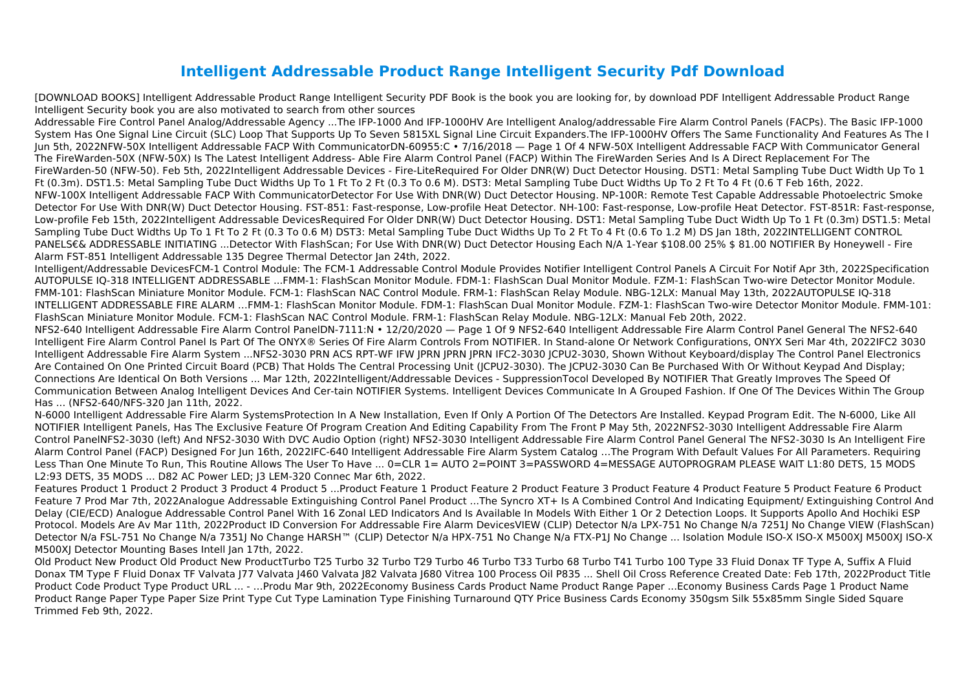## **Intelligent Addressable Product Range Intelligent Security Pdf Download**

[DOWNLOAD BOOKS] Intelligent Addressable Product Range Intelligent Security PDF Book is the book you are looking for, by download PDF Intelligent Addressable Product Range Intelligent Security book you are also motivated to search from other sources

Addressable Fire Control Panel Analog/Addressable Agency ...The IFP-1000 And IFP-1000HV Are Intelligent Analog/addressable Fire Alarm Control Panels (FACPs). The Basic IFP-1000 System Has One Signal Line Circuit (SLC) Loop That Supports Up To Seven 5815XL Signal Line Circuit Expanders.The IFP-1000HV Offers The Same Functionality And Features As The I Jun 5th, 2022NFW-50X Intelligent Addressable FACP With CommunicatorDN-60955:C • 7/16/2018 — Page 1 Of 4 NFW-50X Intelligent Addressable FACP With Communicator General The FireWarden-50X (NFW-50X) Is The Latest Intelligent Address- Able Fire Alarm Control Panel (FACP) Within The FireWarden Series And Is A Direct Replacement For The FireWarden-50 (NFW-50). Feb 5th, 2022Intelligent Addressable Devices - Fire-LiteRequired For Older DNR(W) Duct Detector Housing. DST1: Metal Sampling Tube Duct Width Up To 1 Ft (0.3m). DST1.5: Metal Sampling Tube Duct Widths Up To 1 Ft To 2 Ft (0.3 To 0.6 M). DST3: Metal Sampling Tube Duct Widths Up To 2 Ft To 4 Ft (0.6 T Feb 16th, 2022. NFW-100X Intelligent Addressable FACP With CommunicatorDetector For Use With DNR(W) Duct Detector Housing. NP-100R: Remote Test Capable Addressable Photoelectric Smoke Detector For Use With DNR(W) Duct Detector Housing. FST-851: Fast-response, Low-profile Heat Detector. NH-100: Fast-response, Low-profile Heat Detector. FST-851R: Fast-response, Low-profile Feb 15th, 2022Intelligent Addressable DevicesRequired For Older DNR(W) Duct Detector Housing. DST1: Metal Sampling Tube Duct Width Up To 1 Ft (0.3m) DST1.5: Metal Sampling Tube Duct Widths Up To 1 Ft To 2 Ft (0.3 To 0.6 M) DST3: Metal Sampling Tube Duct Widths Up To 2 Ft To 4 Ft (0.6 To 1.2 M) DS Jan 18th, 2022INTELLIGENT CONTROL PANELS€& ADDRESSABLE INITIATING ...Detector With FlashScan; For Use With DNR(W) Duct Detector Housing Each N/A 1-Year \$108.00 25% \$ 81.00 NOTIFIER By Honeywell - Fire Alarm FST-851 Intelligent Addressable 135 Degree Thermal Detector Jan 24th, 2022.

Intelligent/Addressable DevicesFCM-1 Control Module: The FCM-1 Addressable Control Module Provides Notifier Intelligent Control Panels A Circuit For Notif Apr 3th, 2022Specification AUTOPULSE IQ-318 INTELLIGENT ADDRESSABLE ...FMM-1: FlashScan Monitor Module. FDM-1: FlashScan Dual Monitor Module. FZM-1: FlashScan Two-wire Detector Monitor Module. FMM-101: FlashScan Miniature Monitor Module. FCM-1: FlashScan NAC Control Module. FRM-1: FlashScan Relay Module. NBG-12LX: Manual May 13th, 2022AUTOPULSE IQ-318 INTELLIGENT ADDRESSABLE FIRE ALARM …FMM-1: FlashScan Monitor Module. FDM-1: FlashScan Dual Monitor Module. FZM-1: FlashScan Two-wire Detector Monitor Module. FMM-101: FlashScan Miniature Monitor Module. FCM-1: FlashScan NAC Control Module. FRM-1: FlashScan Relay Module. NBG-12LX: Manual Feb 20th, 2022. NFS2-640 Intelligent Addressable Fire Alarm Control PanelDN-7111:N • 12/20/2020 — Page 1 Of 9 NFS2-640 Intelligent Addressable Fire Alarm Control Panel General The NFS2-640 Intelligent Fire Alarm Control Panel Is Part Of The ONYX® Series Of Fire Alarm Controls From NOTIFIER. In Stand-alone Or Network Configurations, ONYX Seri Mar 4th, 2022IFC2 3030 Intelligent Addressable Fire Alarm System ...NFS2-3030 PRN ACS RPT-WF IFW JPRN JPRN JPRN IFC2-3030 JCPU2-3030, Shown Without Keyboard/display The Control Panel Electronics Are Contained On One Printed Circuit Board (PCB) That Holds The Central Processing Unit (JCPU2-3030). The JCPU2-3030 Can Be Purchased With Or Without Keypad And Display; Connections Are Identical On Both Versions ... Mar 12th, 2022Intelligent/Addressable Devices - SuppressionTocol Developed By NOTIFIER That Greatly Improves The Speed Of Communication Between Analog Intelligent Devices And Cer-tain NOTIFIER Systems. Intelligent Devices Communicate In A Grouped Fashion. If One Of The Devices Within The Group Has ... (NFS2-640/NFS-320 Jan 11th, 2022.

N-6000 Intelligent Addressable Fire Alarm SystemsProtection In A New Installation, Even If Only A Portion Of The Detectors Are Installed. Keypad Program Edit. The N-6000, Like All NOTIFIER Intelligent Panels, Has The Exclusive Feature Of Program Creation And Editing Capability From The Front P May 5th, 2022NFS2-3030 Intelligent Addressable Fire Alarm Control PanelNFS2-3030 (left) And NFS2-3030 With DVC Audio Option (right) NFS2-3030 Intelligent Addressable Fire Alarm Control Panel General The NFS2-3030 Is An Intelligent Fire Alarm Control Panel (FACP) Designed For Jun 16th, 2022IFC-640 Intelligent Addressable Fire Alarm System Catalog …The Program With Default Values For All Parameters. Requiring Less Than One Minute To Run, This Routine Allows The User To Have ... 0=CLR 1= AUTO 2=POINT 3=PASSWORD 4=MESSAGE AUTOPROGRAM PLEASE WAIT L1:80 DETS, 15 MODS L2:93 DETS, 35 MODS ... D82 AC Power LED; J3 LEM-320 Connec Mar 6th, 2022.

Features Product 1 Product 2 Product 3 Product 4 Product 5 ...Product Feature 1 Product Feature 2 Product Feature 3 Product Feature 4 Product Feature 5 Product Feature 6 Product Feature 7 Prod Mar 7th, 2022Analogue Addressable Extinguishing Control Panel Product ...The Syncro XT+ Is A Combined Control And Indicating Equipment/ Extinguishing Control And Delay (CIE/ECD) Analogue Addressable Control Panel With 16 Zonal LED Indicators And Is Available In Models With Either 1 Or 2 Detection Loops. It Supports Apollo And Hochiki ESP Protocol. Models Are Av Mar 11th, 2022Product ID Conversion For Addressable Fire Alarm DevicesVIEW (CLIP) Detector N/a LPX-751 No Change N/a 7251J No Change VIEW (FlashScan) Detector N/a FSL-751 No Change N/a 7351J No Change HARSH™ (CLIP) Detector N/a HPX-751 No Change N/a FTX-P1J No Change ... Isolation Module ISO-X ISO-X M500XJ M500XJ ISO-X M500XJ Detector Mounting Bases Intell Jan 17th, 2022.

Old Product New Product Old Product New ProductTurbo T25 Turbo 32 Turbo T29 Turbo 46 Turbo T33 Turbo 68 Turbo T41 Turbo 100 Type 33 Fluid Donax TF Type A, Suffix A Fluid Donax TM Type F Fluid Donax TF Valvata J77 Valvata J460 Valvata J82 Valvata J680 Vitrea 100 Process Oil P835 ... Shell Oil Cross Reference Created Date: Feb 17th, 2022Product Title Product Code Product Type Product URL ... - …Produ Mar 9th, 2022Economy Business Cards Product Name Product Range Paper ...Economy Business Cards Page 1 Product Name Product Range Paper Type Paper Size Print Type Cut Type Lamination Type Finishing Turnaround QTY Price Business Cards Economy 350gsm Silk 55x85mm Single Sided Square Trimmed Feb 9th, 2022.